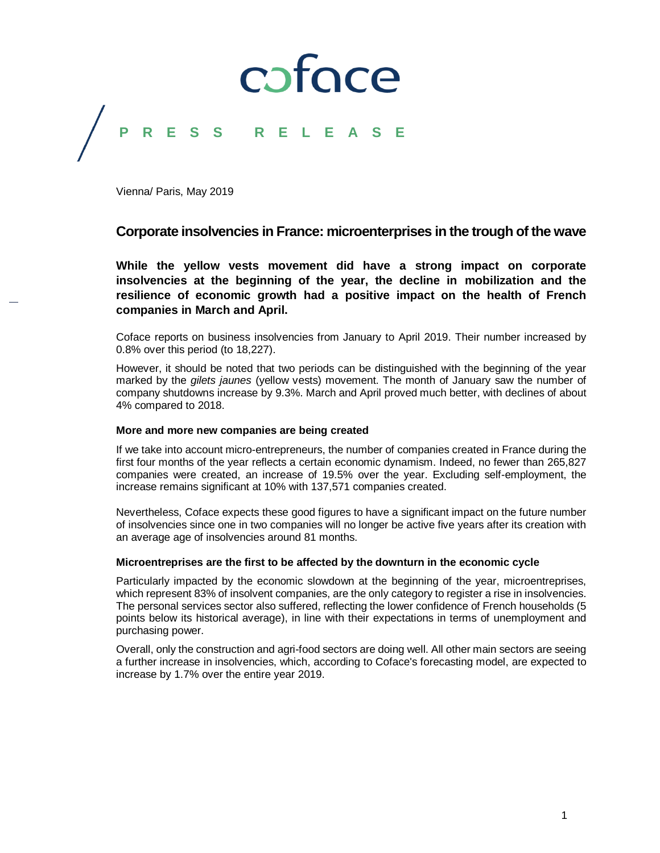### coface **P R E S S R E L E A S E**

Vienna/ Paris, May 2019

### **Corporate insolvencies in France: microenterprises in the trough of the wave**

**While the yellow vests movement did have a strong impact on corporate insolvencies at the beginning of the year, the decline in mobilization and the resilience of economic growth had a positive impact on the health of French companies in March and April.** 

Coface reports on business insolvencies from January to April 2019. Their number increased by 0.8% over this period (to 18,227).

However, it should be noted that two periods can be distinguished with the beginning of the year marked by the *gilets jaunes* (yellow vests) movement. The month of January saw the number of company shutdowns increase by 9.3%. March and April proved much better, with declines of about 4% compared to 2018.

### **More and more new companies are being created**

If we take into account micro-entrepreneurs, the number of companies created in France during the first four months of the year reflects a certain economic dynamism. Indeed, no fewer than 265,827 companies were created, an increase of 19.5% over the year. Excluding self-employment, the increase remains significant at 10% with 137,571 companies created.

Nevertheless, Coface expects these good figures to have a significant impact on the future number of insolvencies since one in two companies will no longer be active five years after its creation with an average age of insolvencies around 81 months.

### **Microentreprises are the first to be affected by the downturn in the economic cycle**

Particularly impacted by the economic slowdown at the beginning of the year, microentreprises, which represent 83% of insolvent companies, are the only category to register a rise in insolvencies. The personal services sector also suffered, reflecting the lower confidence of French households (5 points below its historical average), in line with their expectations in terms of unemployment and purchasing power.

Overall, only the construction and agri-food sectors are doing well. All other main sectors are seeing a further increase in insolvencies, which, according to Coface's forecasting model, are expected to increase by 1.7% over the entire year 2019.

1